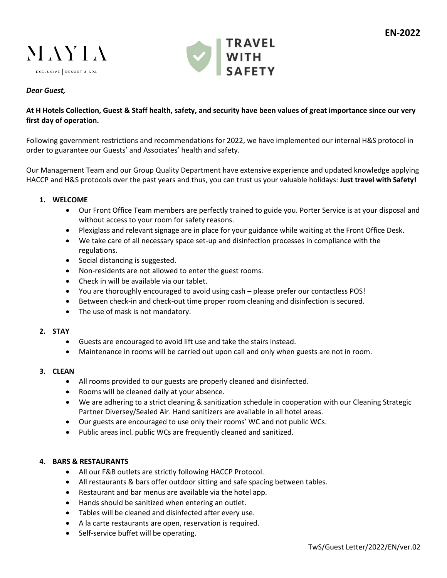



## *Dear Guest,*

# **At H Hotels Collection, Guest & Staff health, safety, and security have been values of great importance since our very first day of operation.**

Following government restrictions and recommendations for 2022, we have implemented our internal H&S protocol in order to guarantee our Guests' and Associates' health and safety.

Our Management Team and our Group Quality Department have extensive experience and updated knowledge applying HACCP and H&S protocols over the past years and thus, you can trust us your valuable holidays: **Just travel with Safety!**

### **1. WELCOME**

- Our Front Office Team members are perfectly trained to guide you. Porter Service is at your disposal and without access to your room for safety reasons.
- Plexiglass and relevant signage are in place for your guidance while waiting at the Front Office Desk.
- We take care of all necessary space set-up and disinfection processes in compliance with the regulations.
- Social distancing is suggested.
- Non-residents are not allowed to enter the guest rooms.
- Check in will be available via our tablet.
- You are thoroughly encouraged to avoid using cash please prefer our contactless POS!
- Between check-in and check-out time proper room cleaning and disinfection is secured.
- The use of mask is not mandatory.

### **2. STAY**

- Guests are encouraged to avoid lift use and take the stairs instead.
- Maintenance in rooms will be carried out upon call and only when guests are not in room.

### **3. CLEAN**

- All rooms provided to our guests are properly cleaned and disinfected.
- Rooms will be cleaned daily at your absence.
- We are adhering to a strict cleaning & sanitization schedule in cooperation with our Cleaning Strategic Partner Diversey/Sealed Air. Hand sanitizers are available in all hotel areas.
- Our guests are encouraged to use only their rooms' WC and not public WCs.
- Public areas incl. public WCs are frequently cleaned and sanitized.

### **4. BARS & RESTAURANTS**

- All our F&B outlets are strictly following HACCP Protocol.
- All restaurants & bars offer outdoor sitting and safe spacing between tables.
- Restaurant and bar menus are available via the hotel app.
- Hands should be sanitized when entering an outlet.
- Tables will be cleaned and disinfected after every use.
- A la carte restaurants are open, reservation is required.
- Self-service buffet will be operating.